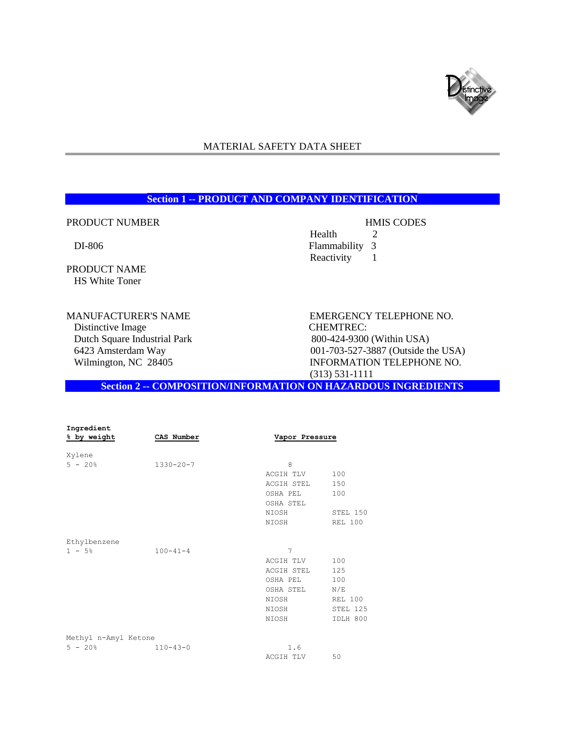

#### MATERIAL SAFETY DATA SHEET

## **Section 1 -- PRODUCT AND COMPANY IDENTIFICATION**

PRODUCT NUMBER HMIS CODES

PRODUCT NAME HS White Toner

Distinctive Image CHEMTREC:

# Health 2 DI-806 Flammability 3 Reactivity 1

MANUFACTURER'S NAME EMERGENCY TELEPHONE NO. Dutch Square Industrial Park 800-424-9300 (Within USA)<br>6423 Amsterdam Way 001-703-527-3887 (Outside th 6423 Amsterdam Way 001-703-527-3887 (Outside the USA)<br>Wilmington, NC 28405 MFORMATION TELEPHONE NO. INFORMATION TELEPHONE NO. (313) 531-1111

**Section 2 -- COMPOSITION/INFORMATION ON HAZARDOUS INGREDIENTS**

| Ingredient<br>% by weight | CAS Number      | Vapor Pressure |                |
|---------------------------|-----------------|----------------|----------------|
| Xylene                    |                 |                |                |
| $5 - 20%$                 | $1330 - 20 - 7$ | 8              |                |
|                           |                 | ACGIH TLV      | 100            |
|                           |                 | ACGIH STEL     | 150            |
|                           |                 | OSHA PEL       | 100            |
|                           |                 | OSHA STEL      |                |
|                           |                 | NIOSH          | STEL 150       |
|                           |                 | NIOSH          | <b>REL 100</b> |
| Ethylbenzene              |                 |                |                |
| $1 - 5%$                  | $100 - 41 - 4$  | 7              |                |
|                           |                 | ACGIH TLV      | 100            |
|                           |                 | ACGIH STEL     | 125            |
|                           |                 | OSHA PEL       | 100            |
|                           |                 | OSHA STEL      | N/E            |
|                           |                 | NIOSH          | <b>REL 100</b> |
|                           |                 | NIOSH          | STEL 125       |
|                           |                 | NIOSH          | IDLH 800       |
| Methyl n-Amyl Ketone      |                 |                |                |
| $5 - 20%$                 | $110 - 43 - 0$  | 1.6            |                |
|                           |                 | ACGIH TLV      | 50             |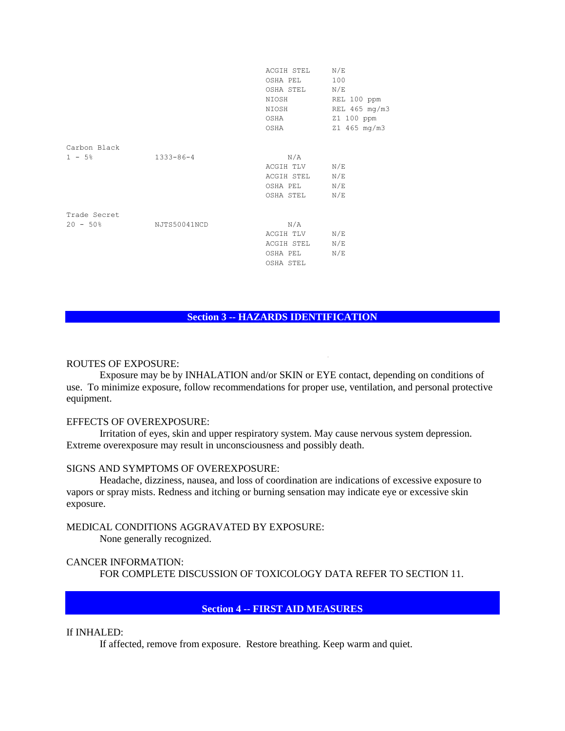|                             |                 | ACGIH STEL<br>OSHA PEL<br>OSHA STEL<br>NIOSH<br>NIOSH<br>OSHA<br>OSHA | N/E<br>100<br>N/E<br>REL 100 ppm<br>REL 465 mg/m3<br>Z1 100 ppm<br>Z1 465 mg/m3 |
|-----------------------------|-----------------|-----------------------------------------------------------------------|---------------------------------------------------------------------------------|
| Carbon Black<br>$1 - 5%$    | $1333 - 86 - 4$ | N/A<br>ACGIH TLV<br>ACGIH STEL<br>OSHA PEL<br>OSHA STEL               | N/E<br>N/E<br>N/E<br>N/E                                                        |
| Trade Secret<br>$20 - 50$ % | NJTS50041NCD    | N/A<br>ACGIH TLV<br>ACGIH STEL<br>OSHA PEL<br>OSHA STEL               | N/E<br>N/E<br>N/E                                                               |

## **Section 3 -- HAZARDS IDENTIFICATION**

#### ROUTES OF EXPOSURE:

Exposure may be by INHALATION and/or SKIN or EYE contact, depending on conditions of use. To minimize exposure, follow recommendations for proper use, ventilation, and personal protective equipment.

## EFFECTS OF OVEREXPOSURE:

Irritation of eyes, skin and upper respiratory system. May cause nervous system depression. Extreme overexposure may result in unconsciousness and possibly death.

#### SIGNS AND SYMPTOMS OF OVEREXPOSURE:

Headache, dizziness, nausea, and loss of coordination are indications of excessive exposure to vapors or spray mists. Redness and itching or burning sensation may indicate eye or excessive skin exposure.

## MEDICAL CONDITIONS AGGRAVATED BY EXPOSURE:

None generally recognized.

## CANCER INFORMATION:

FOR COMPLETE DISCUSSION OF TOXICOLOGY DATA REFER TO SECTION 11.

#### **Section 4 -- FIRST AID MEASURES**

## If INHALED:

If affected, remove from exposure. Restore breathing. Keep warm and quiet.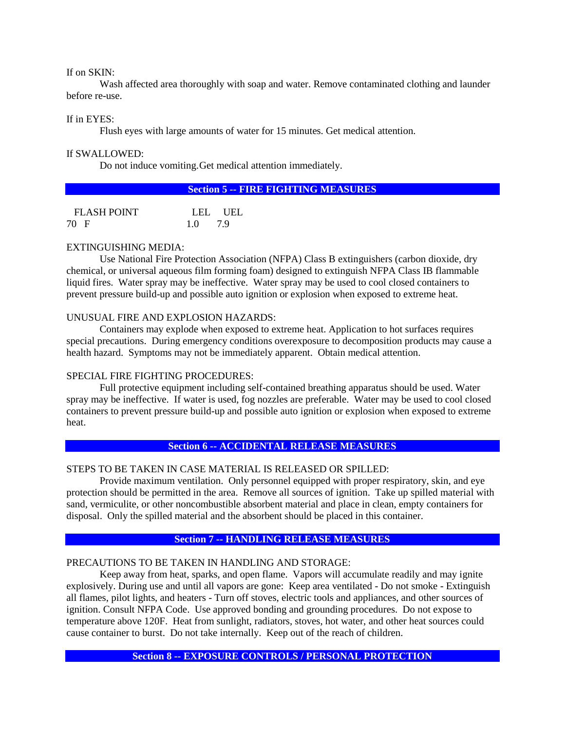If on SKIN:

Wash affected area thoroughly with soap and water. Remove contaminated clothing and launder before re-use.

### If in EYES:

Flush eyes with large amounts of water for 15 minutes. Get medical attention.

#### If SWALLOWED:

Do not induce vomiting.Get medical attention immediately.

| <b>Section 5 -- FIRE FIGHTING MEASURES</b> |                     |  |  |
|--------------------------------------------|---------------------|--|--|
| FLASH POINT<br>70 F                        | LEL UEL<br>79<br>10 |  |  |

#### EXTINGUISHING MEDIA:

Use National Fire Protection Association (NFPA) Class B extinguishers (carbon dioxide, dry chemical, or universal aqueous film forming foam) designed to extinguish NFPA Class IB flammable liquid fires. Water spray may be ineffective. Water spray may be used to cool closed containers to prevent pressure build-up and possible auto ignition or explosion when exposed to extreme heat.

## UNUSUAL FIRE AND EXPLOSION HAZARDS:

Containers may explode when exposed to extreme heat. Application to hot surfaces requires special precautions. During emergency conditions overexposure to decomposition products may cause a health hazard. Symptoms may not be immediately apparent. Obtain medical attention.

## SPECIAL FIRE FIGHTING PROCEDURES:

Full protective equipment including self-contained breathing apparatus should be used. Water spray may be ineffective. If water is used, fog nozzles are preferable. Water may be used to cool closed containers to prevent pressure build-up and possible auto ignition or explosion when exposed to extreme heat.

## **Section 6 -- ACCIDENTAL RELEASE MEASURES**

#### STEPS TO BE TAKEN IN CASE MATERIAL IS RELEASED OR SPILLED:

Provide maximum ventilation. Only personnel equipped with proper respiratory, skin, and eye protection should be permitted in the area. Remove all sources of ignition. Take up spilled material with sand, vermiculite, or other noncombustible absorbent material and place in clean, empty containers for disposal. Only the spilled material and the absorbent should be placed in this container.

## **Section 7 -- HANDLING RELEASE MEASURES**

## PRECAUTIONS TO BE TAKEN IN HANDLING AND STORAGE:

Keep away from heat, sparks, and open flame. Vapors will accumulate readily and may ignite explosively. During use and until all vapors are gone: Keep area ventilated - Do not smoke - Extinguish all flames, pilot lights, and heaters - Turn off stoves, electric tools and appliances, and other sources of ignition. Consult NFPA Code. Use approved bonding and grounding procedures. Do not expose to temperature above 120F. Heat from sunlight, radiators, stoves, hot water, and other heat sources could cause container to burst. Do not take internally. Keep out of the reach of children.

## **Section 8 -- EXPOSURE CONTROLS / PERSONAL PROTECTION**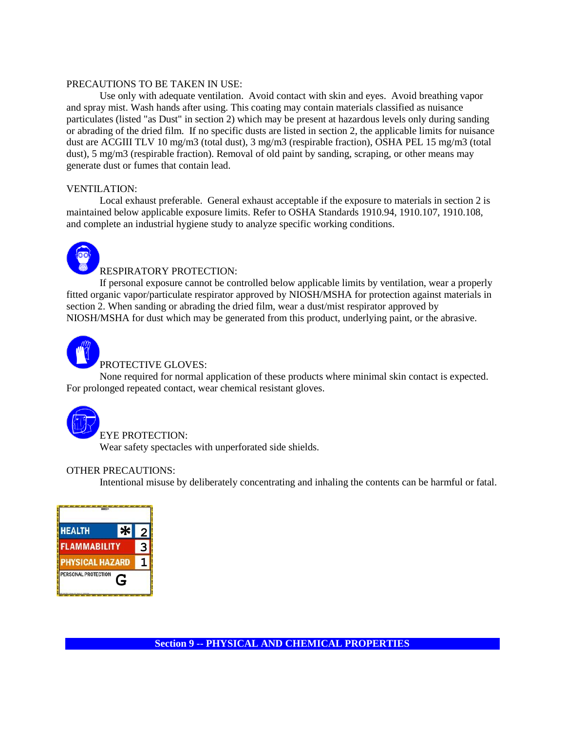## PRECAUTIONS TO BE TAKEN IN USE:

Use only with adequate ventilation. Avoid contact with skin and eyes. Avoid breathing vapor and spray mist. Wash hands after using. This coating may contain materials classified as nuisance particulates (listed "as Dust" in section 2) which may be present at hazardous levels only during sanding or abrading of the dried film. If no specific dusts are listed in section 2, the applicable limits for nuisance dust are ACGIII TLV 10 mg/m3 (total dust), 3 mg/m3 (respirable fraction), OSHA PEL 15 mg/m3 (total dust), 5 mg/m3 (respirable fraction). Removal of old paint by sanding, scraping, or other means may generate dust or fumes that contain lead.

## VENTILATION:

Local exhaust preferable. General exhaust acceptable if the exposure to materials in section 2 is maintained below applicable exposure limits. Refer to OSHA Standards 1910.94, 1910.107, 1910.108, and complete an industrial hygiene study to analyze specific working conditions.



## RESPIRATORY PROTECTION:

If personal exposure cannot be controlled below applicable limits by ventilation, wear a properly fitted organic vapor/particulate respirator approved by NIOSH/MSHA for protection against materials in section 2. When sanding or abrading the dried film, wear a dust/mist respirator approved by NIOSH/MSHA for dust which may be generated from this product, underlying paint, or the abrasive.



## PROTECTIVE GLOVES:

None required for normal application of these products where minimal skin contact is expected. For prolonged repeated contact, wear chemical resistant gloves.



## EYE PROTECTION:

Wear safety spectacles with unperforated side shields.

## OTHER PRECAUTIONS:

Intentional misuse by deliberately concentrating and inhaling the contents can be harmful or fatal.



**Section 9 -- PHYSICAL AND CHEMICAL PROPERTIES**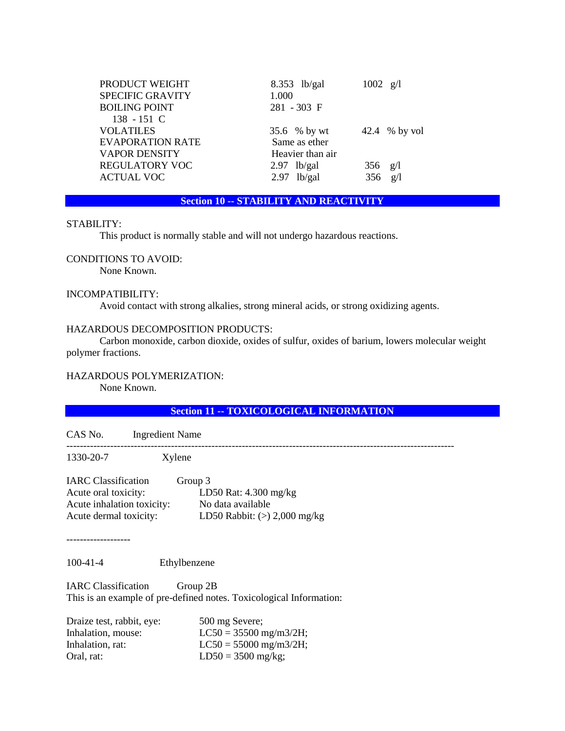| PRODUCT WEIGHT<br><b>SPECIFIC GRAVITY</b><br><b>BOILING POINT</b>  | $8.353$ lb/gal<br>1.000<br>281 - 303 F             | $1002 \text{ g/l}$     |
|--------------------------------------------------------------------|----------------------------------------------------|------------------------|
| 138 - 151 C<br><b>VOLATILES</b><br><b>EVAPORATION RATE</b>         | 35.6 % by wt<br>Same as ether                      | 42.4 % by vol          |
| <b>VAPOR DENSITY</b><br><b>REGULATORY VOC</b><br><b>ACTUAL VOC</b> | Heavier than air<br>$2.97$ lb/gal<br>$2.97$ lb/gal | 356 $g/l$<br>356 $g/l$ |

## **Section 10 -- STABILITY AND REACTIVITY**

## STABILITY:

This product is normally stable and will not undergo hazardous reactions.

## CONDITIONS TO AVOID:

None Known.

## INCOMPATIBILITY:

Avoid contact with strong alkalies, strong mineral acids, or strong oxidizing agents.

## HAZARDOUS DECOMPOSITION PRODUCTS:

Carbon monoxide, carbon dioxide, oxides of sulfur, oxides of barium, lowers molecular weight polymer fractions.

## HAZARDOUS POLYMERIZATION:

None Known.

## **Section 11 -- TOXICOLOGICAL INFORMATION**

CAS No. Ingredient Name

-------------------------------------------------------------------------------------------------------------------

1330-20-7 Xylene

| <b>IARC</b> Classification | Group 3                        |
|----------------------------|--------------------------------|
| Acute oral toxicity:       | LD50 Rat: $4.300$ mg/kg        |
| Acute inhalation toxicity: | No data available              |
| Acute dermal toxicity:     | LD50 Rabbit: $(>)$ 2,000 mg/kg |

-------------------

100-41-4 Ethylbenzene

IARC Classification Group 2B This is an example of pre-defined notes. Toxicological Information:

| Draize test, rabbit, eye: | 500 mg Severe;           |
|---------------------------|--------------------------|
| Inhalation, mouse:        | $LC50 = 35500$ mg/m3/2H; |
| Inhalation, rat:          | $LC50 = 55000$ mg/m3/2H; |
| Oral, rat:                | $LD50 = 3500$ mg/kg;     |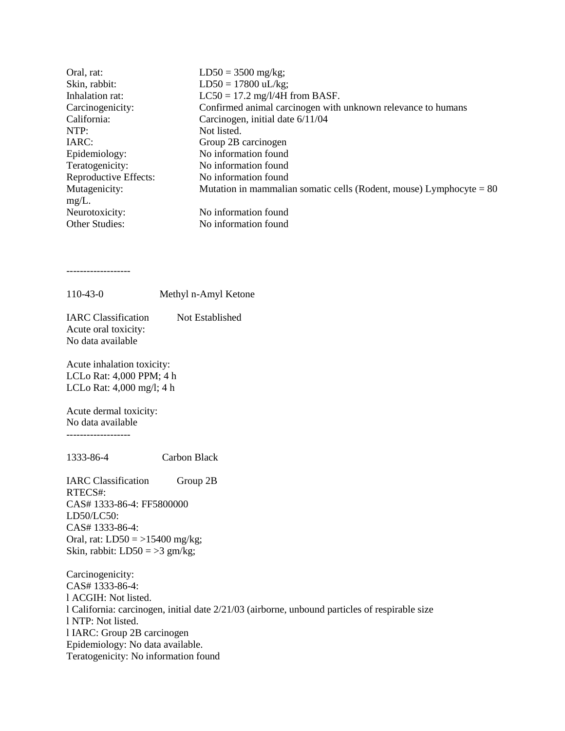| Mutation in mammalian somatic cells (Rodent, mouse) Lymphocyte $= 80$ |
|-----------------------------------------------------------------------|
|                                                                       |
|                                                                       |
|                                                                       |

-------------------

110-43-0 Methyl n-Amyl Ketone

IARC Classification Not Established Acute oral toxicity: No data available

Acute inhalation toxicity: LCLo Rat: 4,000 PPM; 4 h LCLo Rat: 4,000 mg/l; 4 h

Acute dermal toxicity: No data available -------------------

1333-86-4 Carbon Black

IARC Classification Group 2B RTECS#: CAS# 1333-86-4: FF5800000 LD50/LC50: CAS# 1333-86-4: Oral, rat:  $LD50 = >15400$  mg/kg; Skin, rabbit:  $LD50 = >3$  gm/kg;

Carcinogenicity: CAS# 1333-86-4: l ACGIH: Not listed. l California: carcinogen, initial date 2/21/03 (airborne, unbound particles of respirable size l NTP: Not listed. l IARC: Group 2B carcinogen Epidemiology: No data available. Teratogenicity: No information found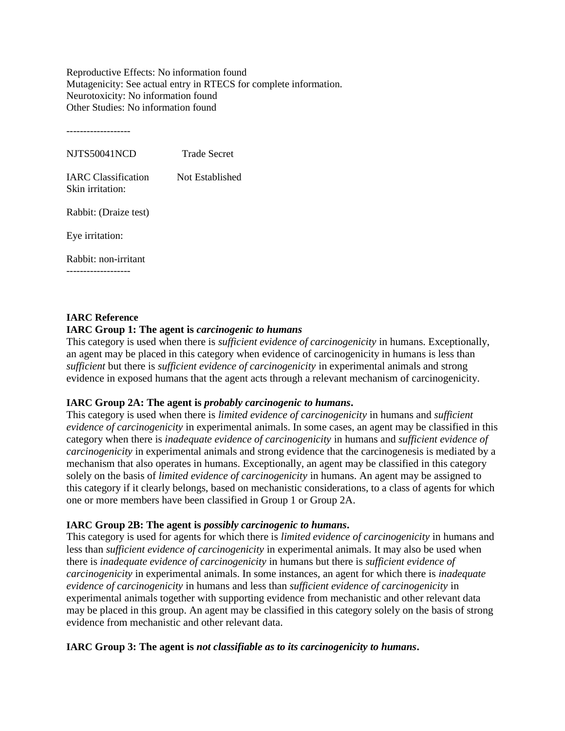Reproductive Effects: No information found Mutagenicity: See actual entry in RTECS for complete information. Neurotoxicity: No information found Other Studies: No information found

NJTS50041NCD Trade Secret

IARC Classification Not Established Skin irritation:

Rabbit: (Draize test)

Eye irritation:

Rabbit: non-irritant -------------------

## **IARC Reference**

## **IARC Group 1: The agent is** *carcinogenic to humans*

This category is used when there is *sufficient evidence of carcinogenicity* in humans. Exceptionally, an agent may be placed in this category when evidence of carcinogenicity in humans is less than *sufficient* but there is *sufficient evidence of carcinogenicity* in experimental animals and strong evidence in exposed humans that the agent acts through a relevant mechanism of carcinogenicity.

## **IARC Group 2A: The agent is** *probably carcinogenic to humans***.**

This category is used when there is *limited evidence of carcinogenicity* in humans and *sufficient evidence of carcinogenicity* in experimental animals. In some cases, an agent may be classified in this category when there is *inadequate evidence of carcinogenicity* in humans and *sufficient evidence of carcinogenicity* in experimental animals and strong evidence that the carcinogenesis is mediated by a mechanism that also operates in humans. Exceptionally, an agent may be classified in this category solely on the basis of *limited evidence of carcinogenicity* in humans. An agent may be assigned to this category if it clearly belongs, based on mechanistic considerations, to a class of agents for which one or more members have been classified in Group 1 or Group 2A.

## **IARC Group 2B: The agent is** *possibly carcinogenic to humans***.**

This category is used for agents for which there is *limited evidence of carcinogenicity* in humans and less than *sufficient evidence of carcinogenicity* in experimental animals. It may also be used when there is *inadequate evidence of carcinogenicity* in humans but there is *sufficient evidence of carcinogenicity* in experimental animals. In some instances, an agent for which there is *inadequate evidence of carcinogenicity* in humans and less than *sufficient evidence of carcinogenicity* in experimental animals together with supporting evidence from mechanistic and other relevant data may be placed in this group. An agent may be classified in this category solely on the basis of strong evidence from mechanistic and other relevant data.

## **IARC Group 3: The agent is** *not classifiable as to its carcinogenicity to humans***.**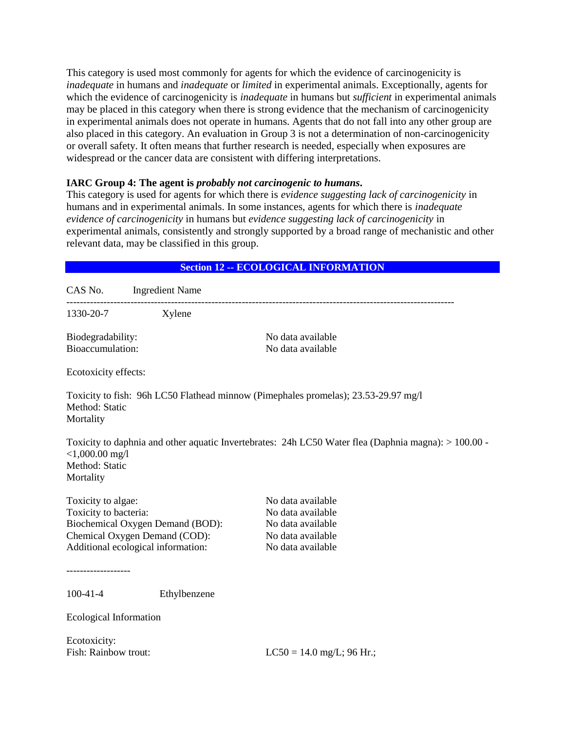This category is used most commonly for agents for which the evidence of carcinogenicity is *inadequate* in humans and *inadequate* or *limited* in experimental animals. Exceptionally, agents for which the evidence of carcinogenicity is *inadequate* in humans but *sufficient* in experimental animals may be placed in this category when there is strong evidence that the mechanism of carcinogenicity in experimental animals does not operate in humans. Agents that do not fall into any other group are also placed in this category. An evaluation in Group 3 is not a determination of non-carcinogenicity or overall safety. It often means that further research is needed, especially when exposures are widespread or the cancer data are consistent with differing interpretations.

## **IARC Group 4: The agent is** *probably not carcinogenic to humans***.**

This category is used for agents for which there is *evidence suggesting lack of carcinogenicity* in humans and in experimental animals. In some instances, agents for which there is *inadequate evidence of carcinogenicity* in humans but *evidence suggesting lack of carcinogenicity* in experimental animals, consistently and strongly supported by a broad range of mechanistic and other relevant data, may be classified in this group.

| <b>Section 12 -- ECOLOGICAL INFORMATION</b>                    |                                                                                                         |                                                                                                       |
|----------------------------------------------------------------|---------------------------------------------------------------------------------------------------------|-------------------------------------------------------------------------------------------------------|
| CAS No.                                                        | <b>Ingredient Name</b>                                                                                  |                                                                                                       |
| 1330-20-7                                                      | Xylene                                                                                                  |                                                                                                       |
| Biodegradability:<br>Bioaccumulation:                          |                                                                                                         | No data available<br>No data available                                                                |
| Ecotoxicity effects:                                           |                                                                                                         |                                                                                                       |
| Method: Static<br>Mortality                                    |                                                                                                         | Toxicity to fish: 96h LC50 Flathead minnow (Pimephales promelas); 23.53-29.97 mg/l                    |
| $<$ 1,000.00 mg/l<br>Method: Static<br>Mortality               |                                                                                                         | Toxicity to daphnia and other aquatic Invertebrates: 24h LC50 Water flea (Daphnia magna): > 100.00 -  |
| Toxicity to algae:<br>Toxicity to bacteria:<br>--------------- | Biochemical Oxygen Demand (BOD):<br>Chemical Oxygen Demand (COD):<br>Additional ecological information: | No data available<br>No data available<br>No data available<br>No data available<br>No data available |
| $100-41-4$                                                     | Ethylbenzene                                                                                            |                                                                                                       |
| Ecological Information                                         |                                                                                                         |                                                                                                       |
| Ecotoxicity:<br>Fish: Rainbow trout:                           |                                                                                                         | $LC50 = 14.0$ mg/L; 96 Hr.;                                                                           |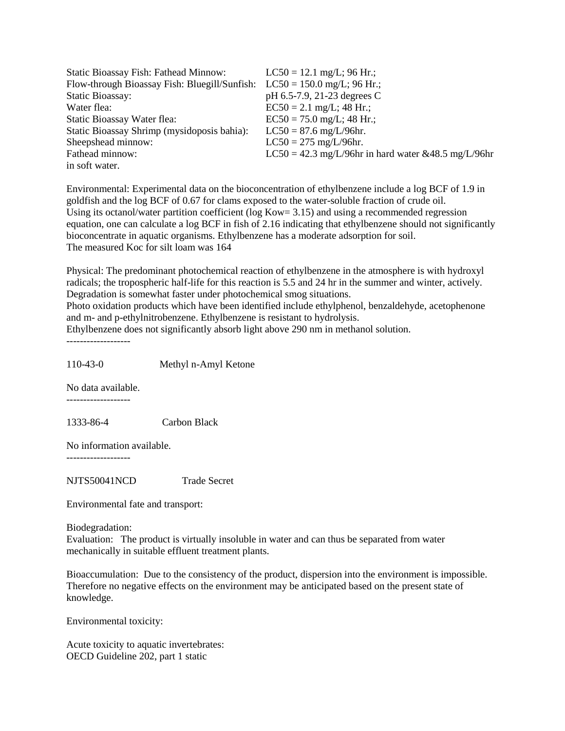| <b>Static Bioassay Fish: Fathead Minnow:</b>  | $LC50 = 12.1$ mg/L; 96 Hr.;                           |
|-----------------------------------------------|-------------------------------------------------------|
| Flow-through Bioassay Fish: Bluegill/Sunfish: | $LC50 = 150.0$ mg/L; 96 Hr.;                          |
| Static Bioassay:                              | pH 6.5-7.9, 21-23 degrees C                           |
| Water flea:                                   | $EC50 = 2.1$ mg/L; 48 Hr.;                            |
| Static Bioassay Water flea:                   | $EC50 = 75.0$ mg/L; 48 Hr.;                           |
| Static Bioassay Shrimp (mysidoposis bahia):   | $LC50 = 87.6$ mg/L/96hr.                              |
| Sheepshead minnow:                            | $LC50 = 275$ mg/L/96hr.                               |
| Fathead minnow:                               | $LC50 = 42.3$ mg/L/96hr in hard water &48.5 mg/L/96hr |
| in soft water.                                |                                                       |

Environmental: Experimental data on the bioconcentration of ethylbenzene include a log BCF of 1.9 in goldfish and the log BCF of 0.67 for clams exposed to the water-soluble fraction of crude oil. Using its octanol/water partition coefficient (log Kow= 3.15) and using a recommended regression equation, one can calculate a log BCF in fish of 2.16 indicating that ethylbenzene should not significantly bioconcentrate in aquatic organisms. Ethylbenzene has a moderate adsorption for soil. The measured Koc for silt loam was 164

Physical: The predominant photochemical reaction of ethylbenzene in the atmosphere is with hydroxyl radicals; the tropospheric half-life for this reaction is 5.5 and 24 hr in the summer and winter, actively. Degradation is somewhat faster under photochemical smog situations.

Photo oxidation products which have been identified include ethylphenol, benzaldehyde, acetophenone and m- and p-ethylnitrobenzene. Ethylbenzene is resistant to hydrolysis.

Ethylbenzene does not significantly absorb light above 290 nm in methanol solution.

-------------------

110-43-0 Methyl n-Amyl Ketone

No data available.

-------------------

1333-86-4 Carbon Black

No information available.

NJTS50041NCD Trade Secret

Environmental fate and transport:

Biodegradation:

Evaluation: The product is virtually insoluble in water and can thus be separated from water mechanically in suitable effluent treatment plants.

Bioaccumulation: Due to the consistency of the product, dispersion into the environment is impossible. Therefore no negative effects on the environment may be anticipated based on the present state of knowledge.

Environmental toxicity:

Acute toxicity to aquatic invertebrates: OECD Guideline 202, part 1 static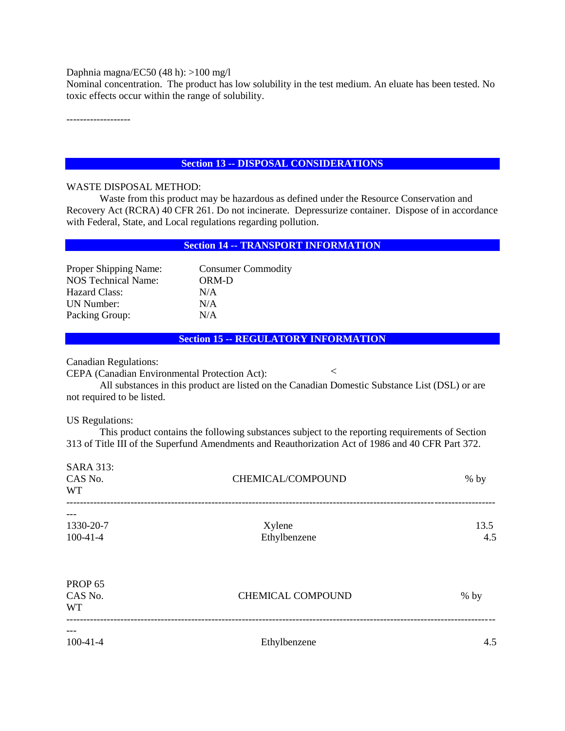Daphnia magna/EC50 (48 h): >100 mg/l

Nominal concentration. The product has low solubility in the test medium. An eluate has been tested. No toxic effects occur within the range of solubility.

-------------------

## **Section 13 -- DISPOSAL CONSIDERATIONS**

## WASTE DISPOSAL METHOD:

Waste from this product may be hazardous as defined under the Resource Conservation and Recovery Act (RCRA) 40 CFR 261. Do not incinerate. Depressurize container. Dispose of in accordance with Federal, State, and Local regulations regarding pollution.

### **Section 14 -- TRANSPORT INFORMATION**

| <b>Proper Shipping Name:</b> | <b>Consumer Commodity</b> |
|------------------------------|---------------------------|
| <b>NOS Technical Name:</b>   | ORM-D                     |
| Hazard Class:                | N/A                       |
| UN Number:                   | N/A                       |
| Packing Group:               | N/A                       |

## **Section 15 -- REGULATORY INFORMATION**

 $\lt$ 

Canadian Regulations:

CEPA (Canadian Environmental Protection Act):

All substances in this product are listed on the Canadian Domestic Substance List (DSL) or are not required to be listed.

## US Regulations:

This product contains the following substances subject to the reporting requirements of Section 313 of Title III of the Superfund Amendments and Reauthorization Act of 1986 and 40 CFR Part 372.

| <b>SARA 313:</b><br>CAS No.<br><b>WT</b> | CHEMICAL/COMPOUND        |        |
|------------------------------------------|--------------------------|--------|
|                                          |                          |        |
| 1330-20-7                                | Xylene                   | 13.5   |
| $100-41-4$                               | Ethylbenzene             | 4.5    |
| <b>PROP 65</b>                           |                          |        |
| CAS No.                                  | <b>CHEMICAL COMPOUND</b> | $%$ by |
| <b>WT</b>                                |                          |        |
|                                          |                          |        |
| $100-41-4$                               | Ethylbenzene             | 4.5    |